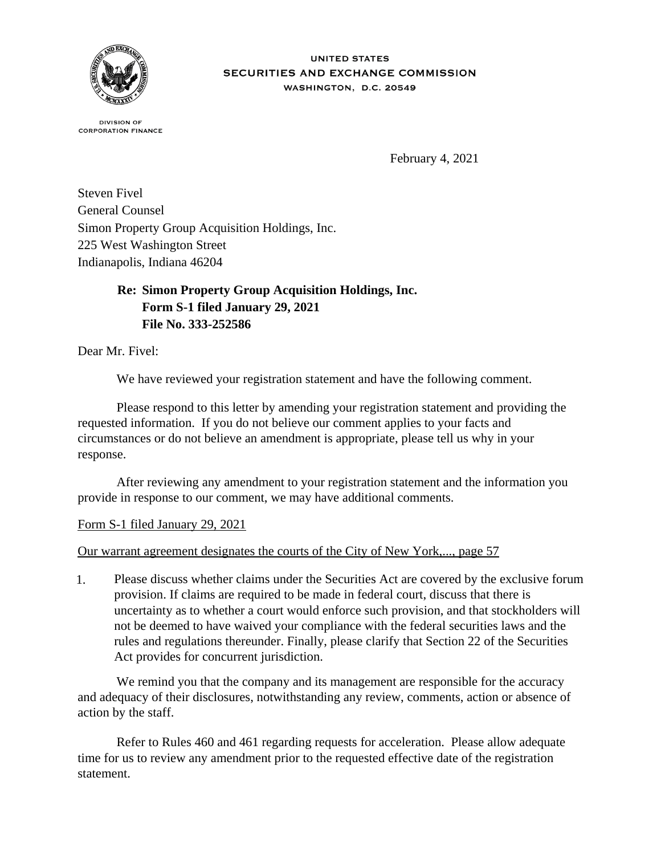

## **UNITED STATES** SECURITIES AND EXCHANGE COMMISSION WASHINGTON, D.C. 20549

**DIVISION OF CORPORATION FINANCE** 

February 4, 2021

Steven Fivel General Counsel Simon Property Group Acquisition Holdings, Inc. 225 West Washington Street Indianapolis, Indiana 46204

> **Re: Simon Property Group Acquisition Holdings, Inc. Form S-1 filed January 29, 2021 File No. 333-252586**

Dear Mr. Fivel:

We have reviewed your registration statement and have the following comment.

 Please respond to this letter by amending your registration statement and providing the requested information. If you do not believe our comment applies to your facts and circumstances or do not believe an amendment is appropriate, please tell us why in your response.

 After reviewing any amendment to your registration statement and the information you provide in response to our comment, we may have additional comments.

Form S-1 filed January 29, 2021

Our warrant agreement designates the courts of the City of New York,..., page 57

1. Please discuss whether claims under the Securities Act are covered by the exclusive forum provision. If claims are required to be made in federal court, discuss that there is uncertainty as to whether a court would enforce such provision, and that stockholders will not be deemed to have waived your compliance with the federal securities laws and the rules and regulations thereunder. Finally, please clarify that Section 22 of the Securities Act provides for concurrent jurisdiction.

We remind you that the company and its management are responsible for the accuracy and adequacy of their disclosures, notwithstanding any review, comments, action or absence of action by the staff.

 Refer to Rules 460 and 461 regarding requests for acceleration. Please allow adequate time for us to review any amendment prior to the requested effective date of the registration statement.